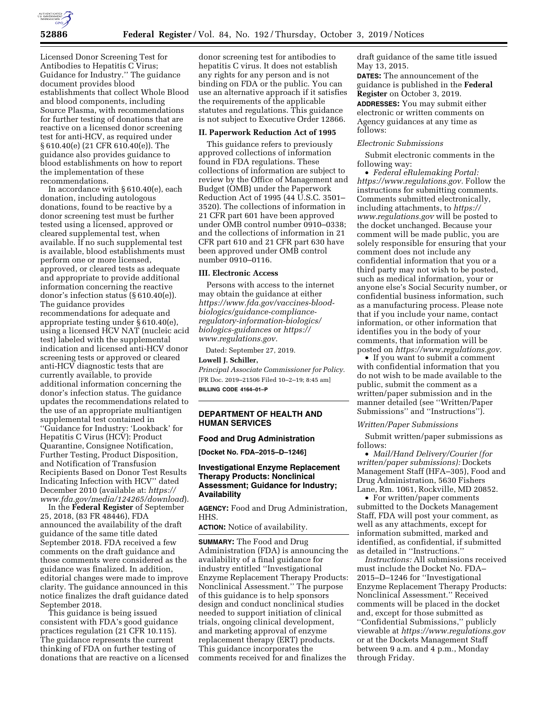

Licensed Donor Screening Test for Antibodies to Hepatitis C Virus; Guidance for Industry.'' The guidance document provides blood establishments that collect Whole Blood and blood components, including Source Plasma, with recommendations for further testing of donations that are reactive on a licensed donor screening test for anti-HCV, as required under § 610.40(e) (21 CFR 610.40(e)). The guidance also provides guidance to blood establishments on how to report the implementation of these recommendations.

In accordance with § 610.40(e), each donation, including autologous donations, found to be reactive by a donor screening test must be further tested using a licensed, approved or cleared supplemental test, when available. If no such supplemental test is available, blood establishments must perform one or more licensed, approved, or cleared tests as adequate and appropriate to provide additional information concerning the reactive donor's infection status (§ 610.40(e)). The guidance provides recommendations for adequate and appropriate testing under § 610.40(e), using a licensed HCV NAT (nucleic acid test) labeled with the supplemental indication and licensed anti-HCV donor screening tests or approved or cleared anti-HCV diagnostic tests that are currently available, to provide additional information concerning the donor's infection status. The guidance updates the recommendations related to the use of an appropriate multiantigen supplemental test contained in ''Guidance for Industry: 'Lookback' for Hepatitis C Virus (HCV): Product Quarantine, Consignee Notification, Further Testing, Product Disposition, and Notification of Transfusion Recipients Based on Donor Test Results Indicating Infection with HCV'' dated December 2010 (available at: *[https://](https://www.fda.gov/media/124265/download) [www.fda.gov/media/124265/download](https://www.fda.gov/media/124265/download)*).

In the **Federal Register** of September 25, 2018, (83 FR 48446), FDA announced the availability of the draft guidance of the same title dated September 2018. FDA received a few comments on the draft guidance and those comments were considered as the guidance was finalized. In addition, editorial changes were made to improve clarity. The guidance announced in this notice finalizes the draft guidance dated September 2018.

This guidance is being issued consistent with FDA's good guidance practices regulation (21 CFR 10.115). The guidance represents the current thinking of FDA on further testing of donations that are reactive on a licensed

donor screening test for antibodies to hepatitis C virus. It does not establish any rights for any person and is not binding on FDA or the public. You can use an alternative approach if it satisfies the requirements of the applicable statutes and regulations. This guidance is not subject to Executive Order 12866.

### **II. Paperwork Reduction Act of 1995**

This guidance refers to previously approved collections of information found in FDA regulations. These collections of information are subject to review by the Office of Management and Budget (OMB) under the Paperwork Reduction Act of 1995 (44 U.S.C. 3501– 3520). The collections of information in 21 CFR part 601 have been approved under OMB control number 0910–0338; and the collections of information in 21 CFR part 610 and 21 CFR part 630 have been approved under OMB control number 0910–0116.

## **III. Electronic Access**

Persons with access to the internet may obtain the guidance at either *[https://www.fda.gov/vaccines-blood](https://www.fda.gov/vaccines-blood-biologics/guidance-compliance-regulatory-information-biologics/biologics-guidances)biologics/guidance-complianceregulatory-information-biologics/ [biologics-guidances](https://www.fda.gov/vaccines-blood-biologics/guidance-compliance-regulatory-information-biologics/biologics-guidances)* or *[https://](https://www.regulations.gov) [www.regulations.gov.](https://www.regulations.gov)* 

Dated: September 27, 2019.

### **Lowell J. Schiller,**

*Principal Associate Commissioner for Policy.*  [FR Doc. 2019–21506 Filed 10–2–19; 8:45 am] **BILLING CODE 4164–01–P** 

## **DEPARTMENT OF HEALTH AND HUMAN SERVICES**

### **Food and Drug Administration**

**[Docket No. FDA–2015–D–1246]** 

## **Investigational Enzyme Replacement Therapy Products: Nonclinical Assessment; Guidance for Industry; Availability**

**AGENCY:** Food and Drug Administration, HHS.

**ACTION:** Notice of availability.

**SUMMARY:** The Food and Drug Administration (FDA) is announcing the availability of a final guidance for industry entitled ''Investigational Enzyme Replacement Therapy Products: Nonclinical Assessment.'' The purpose of this guidance is to help sponsors design and conduct nonclinical studies needed to support initiation of clinical trials, ongoing clinical development, and marketing approval of enzyme replacement therapy (ERT) products. This guidance incorporates the comments received for and finalizes the

draft guidance of the same title issued May 13, 2015. **DATES:** The announcement of the guidance is published in the **Federal Register** on October 3, 2019. **ADDRESSES:** You may submit either electronic or written comments on Agency guidances at any time as

## *Electronic Submissions*

follows:

Submit electronic comments in the following way:

• *Federal eRulemaking Portal: [https://www.regulations.gov.](https://www.regulations.gov)* Follow the instructions for submitting comments. Comments submitted electronically, including attachments, to *[https://](https://www.regulations.gov) [www.regulations.gov](https://www.regulations.gov)* will be posted to the docket unchanged. Because your comment will be made public, you are solely responsible for ensuring that your comment does not include any confidential information that you or a third party may not wish to be posted, such as medical information, your or anyone else's Social Security number, or confidential business information, such as a manufacturing process. Please note that if you include your name, contact information, or other information that identifies you in the body of your comments, that information will be posted on *[https://www.regulations.gov.](https://www.regulations.gov)* 

• If you want to submit a comment with confidential information that you do not wish to be made available to the public, submit the comment as a written/paper submission and in the manner detailed (see ''Written/Paper Submissions'' and ''Instructions'').

### *Written/Paper Submissions*

Submit written/paper submissions as follows:

• *Mail/Hand Delivery/Courier (for written/paper submissions):* Dockets Management Staff (HFA–305), Food and Drug Administration, 5630 Fishers Lane, Rm. 1061, Rockville, MD 20852.

• For written/paper comments submitted to the Dockets Management Staff, FDA will post your comment, as well as any attachments, except for information submitted, marked and identified, as confidential, if submitted as detailed in ''Instructions.''

*Instructions:* All submissions received must include the Docket No. FDA– 2015–D–1246 for ''Investigational Enzyme Replacement Therapy Products: Nonclinical Assessment.'' Received comments will be placed in the docket and, except for those submitted as ''Confidential Submissions,'' publicly viewable at *<https://www.regulations.gov>* or at the Dockets Management Staff between 9 a.m. and 4 p.m., Monday through Friday.